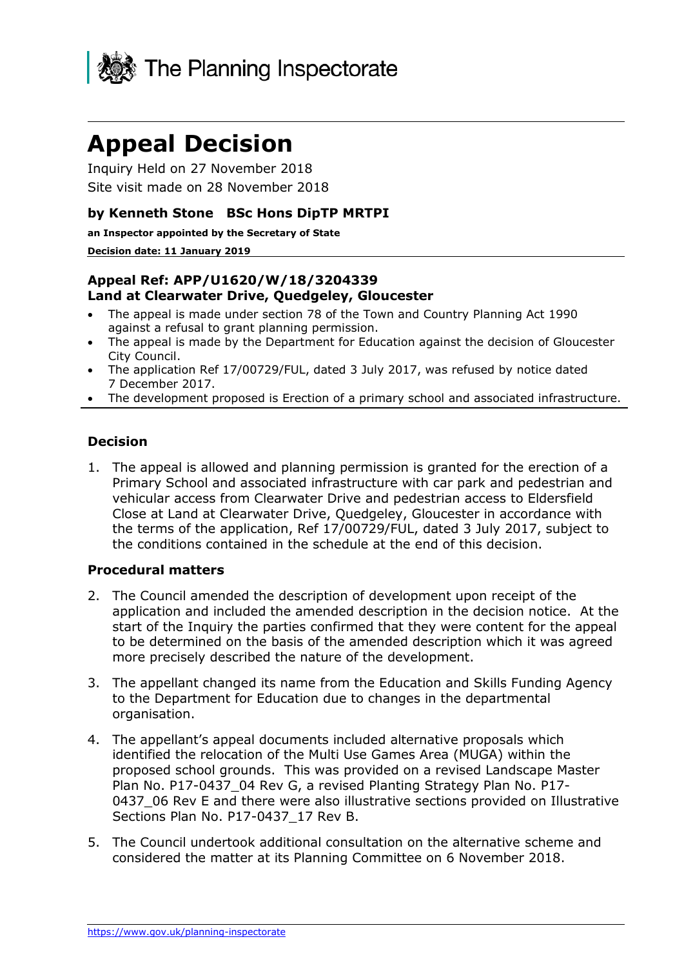

# **Appeal Decision**

Inquiry Held on 27 November 2018 Site visit made on 28 November 2018

#### **by Kenneth Stone BSc Hons DipTP MRTPI**

**an Inspector appointed by the Secretary of State** 

#### **Decision date: 11 January 2019**

#### **Appeal Ref: APP/U1620/W/18/3204339 Land at Clearwater Drive, Quedgeley, Gloucester**

- The appeal is made under section 78 of the Town and Country Planning Act 1990 against a refusal to grant planning permission.
- The appeal is made by the Department for Education against the decision of Gloucester City Council.
- The application Ref 17/00729/FUL, dated 3 July 2017, was refused by notice dated 7 December 2017.
- The development proposed is Erection of a primary school and associated infrastructure.

### **Decision**

1. The appeal is allowed and planning permission is granted for the erection of a Primary School and associated infrastructure with car park and pedestrian and vehicular access from Clearwater Drive and pedestrian access to Eldersfield Close at Land at Clearwater Drive, Quedgeley, Gloucester in accordance with the terms of the application, Ref 17/00729/FUL, dated 3 July 2017, subject to the conditions contained in the schedule at the end of this decision.

#### **Procedural matters**

- 2. The Council amended the description of development upon receipt of the application and included the amended description in the decision notice. At the start of the Inquiry the parties confirmed that they were content for the appeal to be determined on the basis of the amended description which it was agreed more precisely described the nature of the development.
- 3. The appellant changed its name from the Education and Skills Funding Agency to the Department for Education due to changes in the departmental organisation.
- 4. The appellant's appeal documents included alternative proposals which identified the relocation of the Multi Use Games Area (MUGA) within the proposed school grounds. This was provided on a revised Landscape Master Plan No. P17-0437 04 Rev G, a revised Planting Strategy Plan No. P17-0437\_06 Rev E and there were also illustrative sections provided on Illustrative Sections Plan No. P17-0437 17 Rev B.
- 5. The Council undertook additional consultation on the alternative scheme and considered the matter at its Planning Committee on 6 November 2018.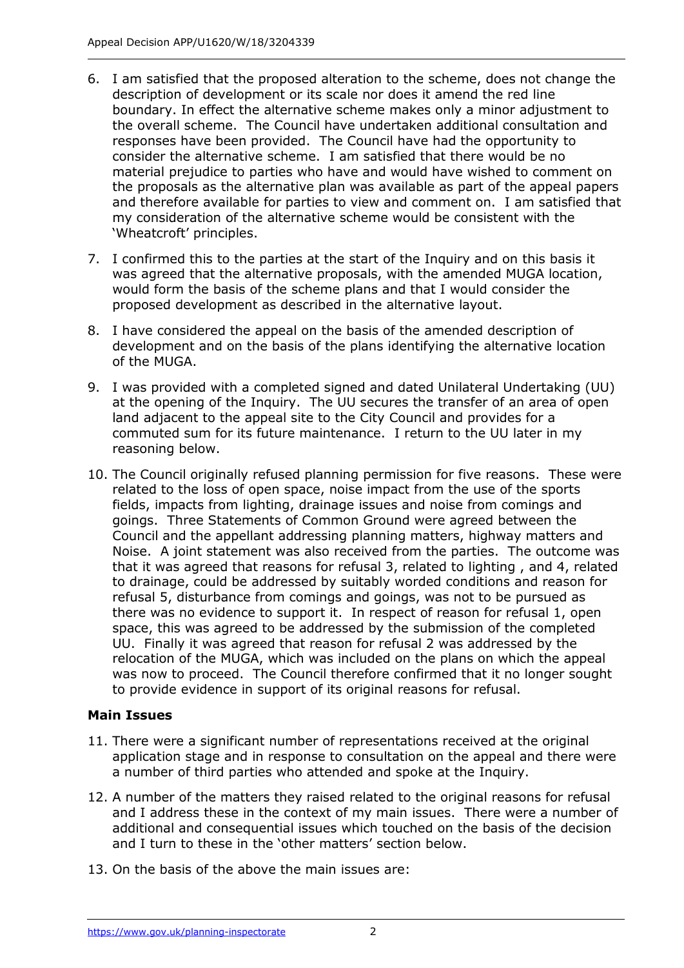- 6. I am satisfied that the proposed alteration to the scheme, does not change the description of development or its scale nor does it amend the red line boundary. In effect the alternative scheme makes only a minor adjustment to the overall scheme. The Council have undertaken additional consultation and responses have been provided. The Council have had the opportunity to consider the alternative scheme. I am satisfied that there would be no material prejudice to parties who have and would have wished to comment on the proposals as the alternative plan was available as part of the appeal papers and therefore available for parties to view and comment on. I am satisfied that my consideration of the alternative scheme would be consistent with the 'Wheatcroft' principles.
- 7. I confirmed this to the parties at the start of the Inquiry and on this basis it was agreed that the alternative proposals, with the amended MUGA location, would form the basis of the scheme plans and that I would consider the proposed development as described in the alternative layout.
- 8. I have considered the appeal on the basis of the amended description of development and on the basis of the plans identifying the alternative location of the MUGA.
- 9. I was provided with a completed signed and dated Unilateral Undertaking (UU) at the opening of the Inquiry. The UU secures the transfer of an area of open land adjacent to the appeal site to the City Council and provides for a commuted sum for its future maintenance. I return to the UU later in my reasoning below.
- 10. The Council originally refused planning permission for five reasons. These were related to the loss of open space, noise impact from the use of the sports fields, impacts from lighting, drainage issues and noise from comings and goings. Three Statements of Common Ground were agreed between the Council and the appellant addressing planning matters, highway matters and Noise. A joint statement was also received from the parties. The outcome was that it was agreed that reasons for refusal 3, related to lighting , and 4, related to drainage, could be addressed by suitably worded conditions and reason for refusal 5, disturbance from comings and goings, was not to be pursued as there was no evidence to support it. In respect of reason for refusal 1, open space, this was agreed to be addressed by the submission of the completed UU. Finally it was agreed that reason for refusal 2 was addressed by the relocation of the MUGA, which was included on the plans on which the appeal was now to proceed. The Council therefore confirmed that it no longer sought to provide evidence in support of its original reasons for refusal.

# **Main Issues**

- 11. There were a significant number of representations received at the original application stage and in response to consultation on the appeal and there were a number of third parties who attended and spoke at the Inquiry.
- 12. A number of the matters they raised related to the original reasons for refusal and I address these in the context of my main issues. There were a number of additional and consequential issues which touched on the basis of the decision and I turn to these in the 'other matters' section below.
- 13. On the basis of the above the main issues are: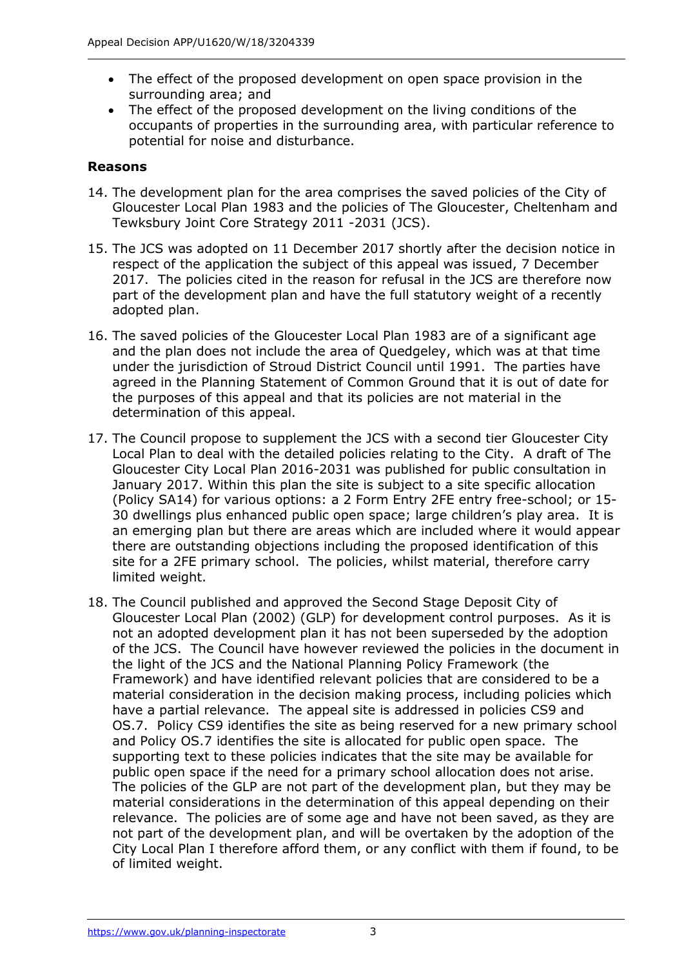- The effect of the proposed development on open space provision in the surrounding area; and
- The effect of the proposed development on the living conditions of the occupants of properties in the surrounding area, with particular reference to potential for noise and disturbance.

### **Reasons**

- 14. The development plan for the area comprises the saved policies of the City of Gloucester Local Plan 1983 and the policies of The Gloucester, Cheltenham and Tewksbury Joint Core Strategy 2011 -2031 (JCS).
- 15. The JCS was adopted on 11 December 2017 shortly after the decision notice in respect of the application the subject of this appeal was issued, 7 December 2017. The policies cited in the reason for refusal in the JCS are therefore now part of the development plan and have the full statutory weight of a recently adopted plan.
- 16. The saved policies of the Gloucester Local Plan 1983 are of a significant age and the plan does not include the area of Quedgeley, which was at that time under the jurisdiction of Stroud District Council until 1991. The parties have agreed in the Planning Statement of Common Ground that it is out of date for the purposes of this appeal and that its policies are not material in the determination of this appeal.
- 17. The Council propose to supplement the JCS with a second tier Gloucester City Local Plan to deal with the detailed policies relating to the City. A draft of The Gloucester City Local Plan 2016-2031 was published for public consultation in January 2017. Within this plan the site is subject to a site specific allocation (Policy SA14) for various options: a 2 Form Entry 2FE entry free-school; or 15- 30 dwellings plus enhanced public open space; large children's play area. It is an emerging plan but there are areas which are included where it would appear there are outstanding objections including the proposed identification of this site for a 2FE primary school. The policies, whilst material, therefore carry limited weight.
- 18. The Council published and approved the Second Stage Deposit City of Gloucester Local Plan (2002) (GLP) for development control purposes. As it is not an adopted development plan it has not been superseded by the adoption of the JCS. The Council have however reviewed the policies in the document in the light of the JCS and the National Planning Policy Framework (the Framework) and have identified relevant policies that are considered to be a material consideration in the decision making process, including policies which have a partial relevance. The appeal site is addressed in policies CS9 and OS.7. Policy CS9 identifies the site as being reserved for a new primary school and Policy OS.7 identifies the site is allocated for public open space. The supporting text to these policies indicates that the site may be available for public open space if the need for a primary school allocation does not arise. The policies of the GLP are not part of the development plan, but they may be material considerations in the determination of this appeal depending on their relevance. The policies are of some age and have not been saved, as they are not part of the development plan, and will be overtaken by the adoption of the City Local Plan I therefore afford them, or any conflict with them if found, to be of limited weight.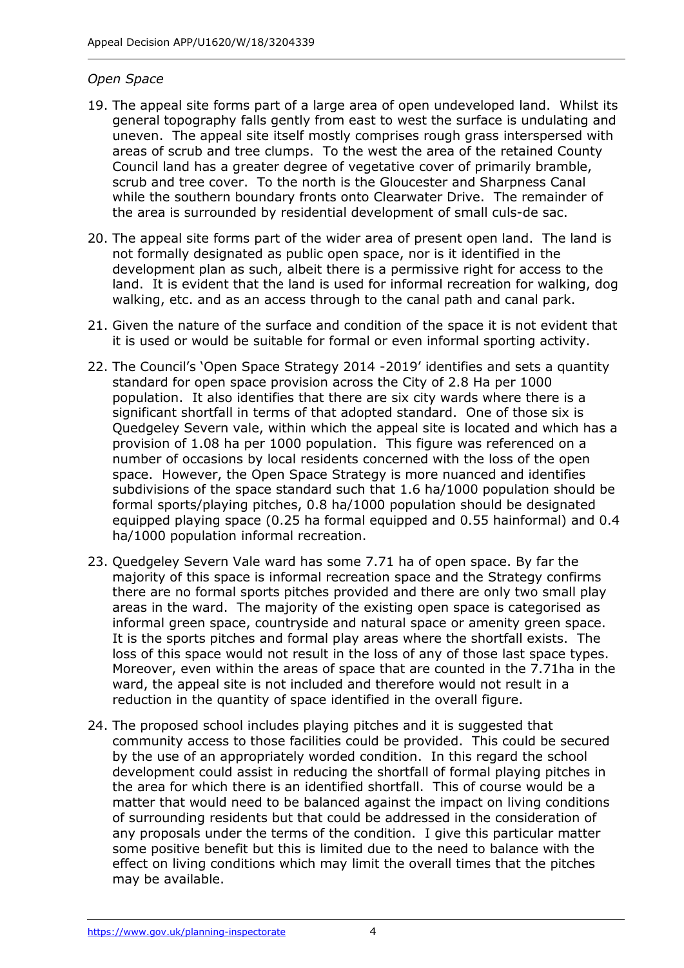#### *Open Space*

- 19. The appeal site forms part of a large area of open undeveloped land. Whilst its general topography falls gently from east to west the surface is undulating and uneven. The appeal site itself mostly comprises rough grass interspersed with areas of scrub and tree clumps. To the west the area of the retained County Council land has a greater degree of vegetative cover of primarily bramble, scrub and tree cover. To the north is the Gloucester and Sharpness Canal while the southern boundary fronts onto Clearwater Drive. The remainder of the area is surrounded by residential development of small culs-de sac.
- 20. The appeal site forms part of the wider area of present open land. The land is not formally designated as public open space, nor is it identified in the development plan as such, albeit there is a permissive right for access to the land. It is evident that the land is used for informal recreation for walking, dog walking, etc. and as an access through to the canal path and canal park.
- 21. Given the nature of the surface and condition of the space it is not evident that it is used or would be suitable for formal or even informal sporting activity.
- 22. The Council's 'Open Space Strategy 2014 -2019' identifies and sets a quantity standard for open space provision across the City of 2.8 Ha per 1000 population. It also identifies that there are six city wards where there is a significant shortfall in terms of that adopted standard. One of those six is Quedgeley Severn vale, within which the appeal site is located and which has a provision of 1.08 ha per 1000 population. This figure was referenced on a number of occasions by local residents concerned with the loss of the open space. However, the Open Space Strategy is more nuanced and identifies subdivisions of the space standard such that 1.6 ha/1000 population should be formal sports/playing pitches, 0.8 ha/1000 population should be designated equipped playing space (0.25 ha formal equipped and 0.55 hainformal) and 0.4 ha/1000 population informal recreation.
- 23. Quedgeley Severn Vale ward has some 7.71 ha of open space. By far the majority of this space is informal recreation space and the Strategy confirms there are no formal sports pitches provided and there are only two small play areas in the ward. The majority of the existing open space is categorised as informal green space, countryside and natural space or amenity green space. It is the sports pitches and formal play areas where the shortfall exists. The loss of this space would not result in the loss of any of those last space types. Moreover, even within the areas of space that are counted in the 7.71ha in the ward, the appeal site is not included and therefore would not result in a reduction in the quantity of space identified in the overall figure.
- 24. The proposed school includes playing pitches and it is suggested that community access to those facilities could be provided. This could be secured by the use of an appropriately worded condition. In this regard the school development could assist in reducing the shortfall of formal playing pitches in the area for which there is an identified shortfall. This of course would be a matter that would need to be balanced against the impact on living conditions of surrounding residents but that could be addressed in the consideration of any proposals under the terms of the condition. I give this particular matter some positive benefit but this is limited due to the need to balance with the effect on living conditions which may limit the overall times that the pitches may be available.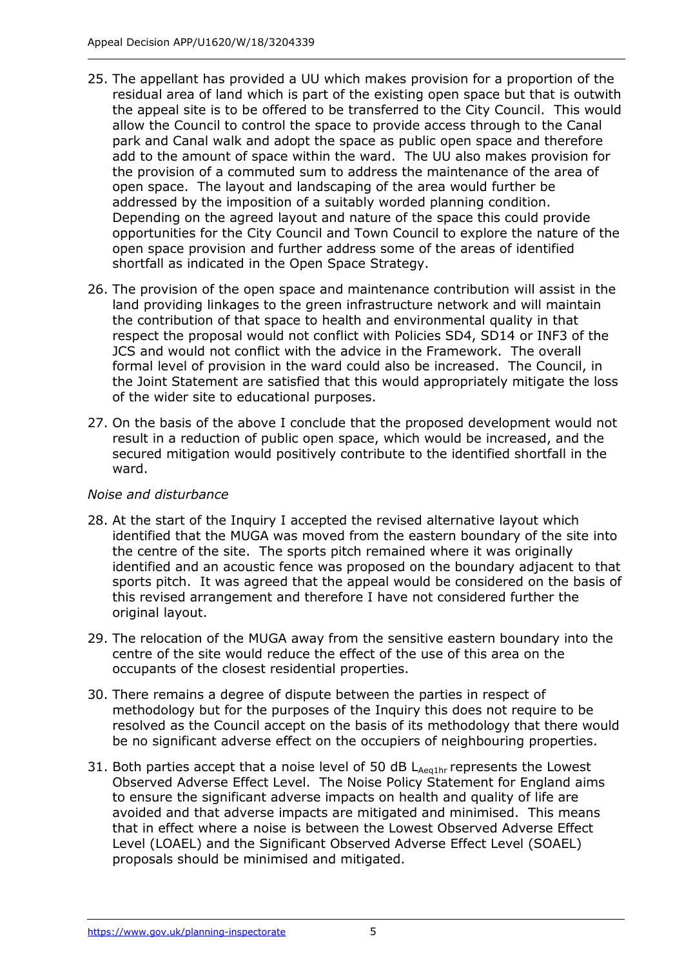- 25. The appellant has provided a UU which makes provision for a proportion of the residual area of land which is part of the existing open space but that is outwith the appeal site is to be offered to be transferred to the City Council. This would allow the Council to control the space to provide access through to the Canal park and Canal walk and adopt the space as public open space and therefore add to the amount of space within the ward. The UU also makes provision for the provision of a commuted sum to address the maintenance of the area of open space. The layout and landscaping of the area would further be addressed by the imposition of a suitably worded planning condition. Depending on the agreed layout and nature of the space this could provide opportunities for the City Council and Town Council to explore the nature of the open space provision and further address some of the areas of identified shortfall as indicated in the Open Space Strategy.
- 26. The provision of the open space and maintenance contribution will assist in the land providing linkages to the green infrastructure network and will maintain the contribution of that space to health and environmental quality in that respect the proposal would not conflict with Policies SD4, SD14 or INF3 of the JCS and would not conflict with the advice in the Framework. The overall formal level of provision in the ward could also be increased. The Council, in the Joint Statement are satisfied that this would appropriately mitigate the loss of the wider site to educational purposes.
- 27. On the basis of the above I conclude that the proposed development would not result in a reduction of public open space, which would be increased, and the secured mitigation would positively contribute to the identified shortfall in the ward.

# *Noise and disturbance*

- 28. At the start of the Inquiry I accepted the revised alternative layout which identified that the MUGA was moved from the eastern boundary of the site into the centre of the site. The sports pitch remained where it was originally identified and an acoustic fence was proposed on the boundary adjacent to that sports pitch. It was agreed that the appeal would be considered on the basis of this revised arrangement and therefore I have not considered further the original layout.
- 29. The relocation of the MUGA away from the sensitive eastern boundary into the centre of the site would reduce the effect of the use of this area on the occupants of the closest residential properties.
- 30. There remains a degree of dispute between the parties in respect of methodology but for the purposes of the Inquiry this does not require to be resolved as the Council accept on the basis of its methodology that there would be no significant adverse effect on the occupiers of neighbouring properties.
- 31. Both parties accept that a noise level of 50 dB  $L_{\text{Aecilhr}}$  represents the Lowest Observed Adverse Effect Level. The Noise Policy Statement for England aims to ensure the significant adverse impacts on health and quality of life are avoided and that adverse impacts are mitigated and minimised. This means that in effect where a noise is between the Lowest Observed Adverse Effect Level (LOAEL) and the Significant Observed Adverse Effect Level (SOAEL) proposals should be minimised and mitigated.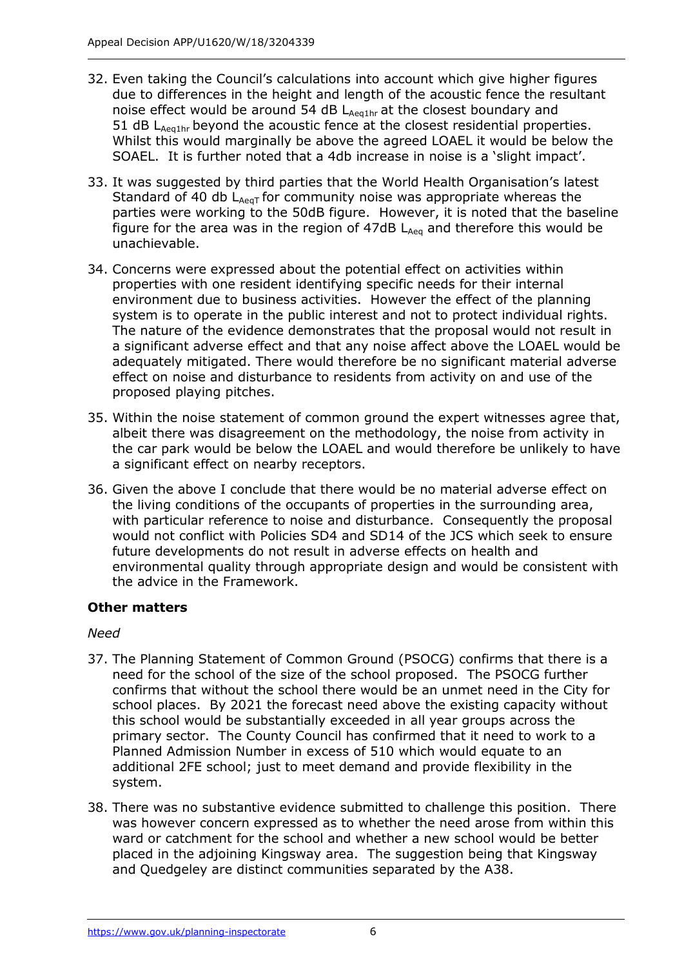- 32. Even taking the Council's calculations into account which give higher figures due to differences in the height and length of the acoustic fence the resultant noise effect would be around 54 dB LAeq1hr at the closest boundary and 51 dB  $L_{\text{Aeathr}}$  beyond the acoustic fence at the closest residential properties. Whilst this would marginally be above the agreed LOAEL it would be below the SOAEL. It is further noted that a 4db increase in noise is a 'slight impact'.
- 33. It was suggested by third parties that the World Health Organisation's latest Standard of 40 db  $L_{Ae\alpha T}$  for community noise was appropriate whereas the parties were working to the 50dB figure. However, it is noted that the baseline figure for the area was in the region of  $47dB$   $L_{Aeq}$  and therefore this would be unachievable.
- 34. Concerns were expressed about the potential effect on activities within properties with one resident identifying specific needs for their internal environment due to business activities. However the effect of the planning system is to operate in the public interest and not to protect individual rights. The nature of the evidence demonstrates that the proposal would not result in a significant adverse effect and that any noise affect above the LOAEL would be adequately mitigated. There would therefore be no significant material adverse effect on noise and disturbance to residents from activity on and use of the proposed playing pitches.
- 35. Within the noise statement of common ground the expert witnesses agree that, albeit there was disagreement on the methodology, the noise from activity in the car park would be below the LOAEL and would therefore be unlikely to have a significant effect on nearby receptors.
- 36. Given the above I conclude that there would be no material adverse effect on the living conditions of the occupants of properties in the surrounding area, with particular reference to noise and disturbance. Consequently the proposal would not conflict with Policies SD4 and SD14 of the JCS which seek to ensure future developments do not result in adverse effects on health and environmental quality through appropriate design and would be consistent with the advice in the Framework.

# **Other matters**

# *Need*

- 37. The Planning Statement of Common Ground (PSOCG) confirms that there is a need for the school of the size of the school proposed. The PSOCG further confirms that without the school there would be an unmet need in the City for school places. By 2021 the forecast need above the existing capacity without this school would be substantially exceeded in all year groups across the primary sector. The County Council has confirmed that it need to work to a Planned Admission Number in excess of 510 which would equate to an additional 2FE school; just to meet demand and provide flexibility in the system.
- 38. There was no substantive evidence submitted to challenge this position. There was however concern expressed as to whether the need arose from within this ward or catchment for the school and whether a new school would be better placed in the adjoining Kingsway area. The suggestion being that Kingsway and Quedgeley are distinct communities separated by the A38.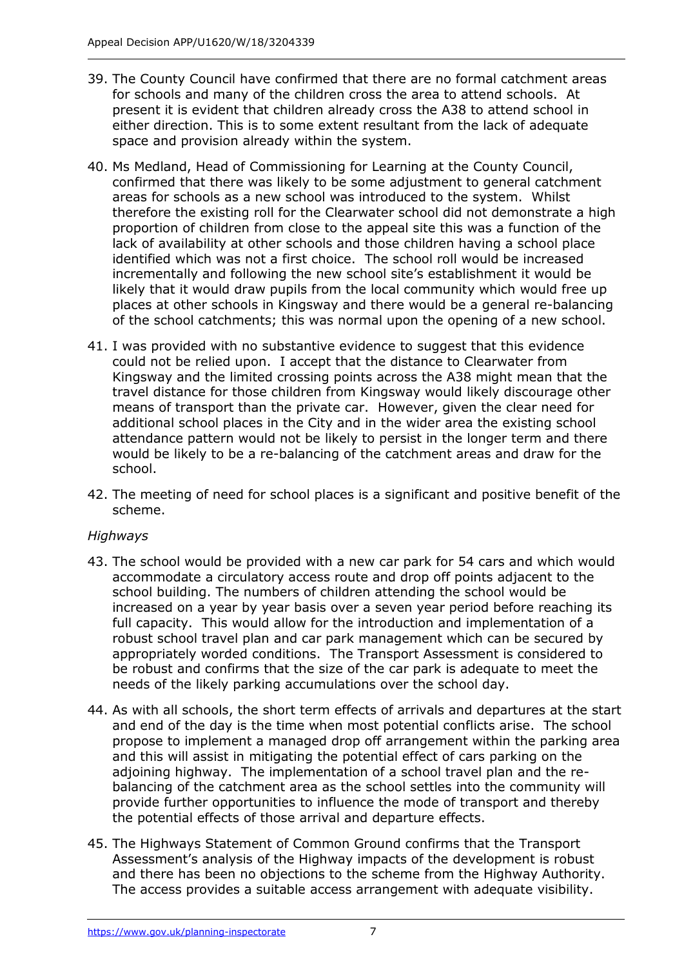- 39. The County Council have confirmed that there are no formal catchment areas for schools and many of the children cross the area to attend schools. At present it is evident that children already cross the A38 to attend school in either direction. This is to some extent resultant from the lack of adequate space and provision already within the system.
- 40. Ms Medland, Head of Commissioning for Learning at the County Council, confirmed that there was likely to be some adjustment to general catchment areas for schools as a new school was introduced to the system. Whilst therefore the existing roll for the Clearwater school did not demonstrate a high proportion of children from close to the appeal site this was a function of the lack of availability at other schools and those children having a school place identified which was not a first choice. The school roll would be increased incrementally and following the new school site's establishment it would be likely that it would draw pupils from the local community which would free up places at other schools in Kingsway and there would be a general re-balancing of the school catchments; this was normal upon the opening of a new school.
- 41. I was provided with no substantive evidence to suggest that this evidence could not be relied upon. I accept that the distance to Clearwater from Kingsway and the limited crossing points across the A38 might mean that the travel distance for those children from Kingsway would likely discourage other means of transport than the private car. However, given the clear need for additional school places in the City and in the wider area the existing school attendance pattern would not be likely to persist in the longer term and there would be likely to be a re-balancing of the catchment areas and draw for the school.
- 42. The meeting of need for school places is a significant and positive benefit of the scheme.

# *Highways*

- 43. The school would be provided with a new car park for 54 cars and which would accommodate a circulatory access route and drop off points adjacent to the school building. The numbers of children attending the school would be increased on a year by year basis over a seven year period before reaching its full capacity. This would allow for the introduction and implementation of a robust school travel plan and car park management which can be secured by appropriately worded conditions. The Transport Assessment is considered to be robust and confirms that the size of the car park is adequate to meet the needs of the likely parking accumulations over the school day.
- 44. As with all schools, the short term effects of arrivals and departures at the start and end of the day is the time when most potential conflicts arise. The school propose to implement a managed drop off arrangement within the parking area and this will assist in mitigating the potential effect of cars parking on the adjoining highway. The implementation of a school travel plan and the rebalancing of the catchment area as the school settles into the community will provide further opportunities to influence the mode of transport and thereby the potential effects of those arrival and departure effects.
- 45. The Highways Statement of Common Ground confirms that the Transport Assessment's analysis of the Highway impacts of the development is robust and there has been no objections to the scheme from the Highway Authority. The access provides a suitable access arrangement with adequate visibility.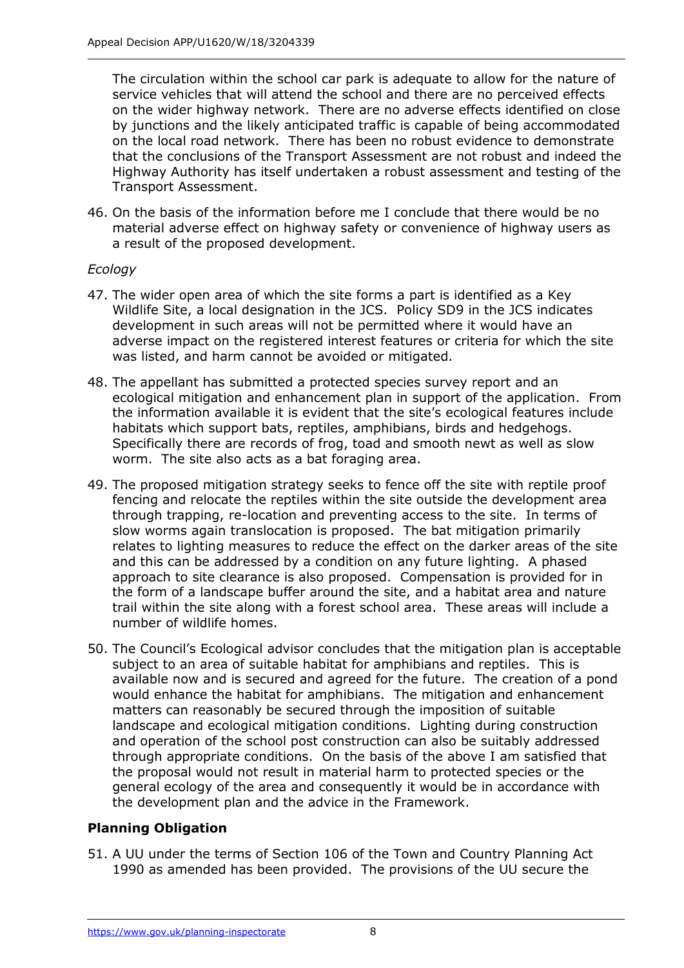The circulation within the school car park is adequate to allow for the nature of service vehicles that will attend the school and there are no perceived effects on the wider highway network. There are no adverse effects identified on close by junctions and the likely anticipated traffic is capable of being accommodated on the local road network. There has been no robust evidence to demonstrate that the conclusions of the Transport Assessment are not robust and indeed the Highway Authority has itself undertaken a robust assessment and testing of the Transport Assessment.

46. On the basis of the information before me I conclude that there would be no material adverse effect on highway safety or convenience of highway users as a result of the proposed development.

# *Ecology*

- 47. The wider open area of which the site forms a part is identified as a Key Wildlife Site, a local designation in the JCS. Policy SD9 in the JCS indicates development in such areas will not be permitted where it would have an adverse impact on the registered interest features or criteria for which the site was listed, and harm cannot be avoided or mitigated.
- 48. The appellant has submitted a protected species survey report and an ecological mitigation and enhancement plan in support of the application. From the information available it is evident that the site's ecological features include habitats which support bats, reptiles, amphibians, birds and hedgehogs. Specifically there are records of frog, toad and smooth newt as well as slow worm. The site also acts as a bat foraging area.
- 49. The proposed mitigation strategy seeks to fence off the site with reptile proof fencing and relocate the reptiles within the site outside the development area through trapping, re-location and preventing access to the site. In terms of slow worms again translocation is proposed. The bat mitigation primarily relates to lighting measures to reduce the effect on the darker areas of the site and this can be addressed by a condition on any future lighting. A phased approach to site clearance is also proposed. Compensation is provided for in the form of a landscape buffer around the site, and a habitat area and nature trail within the site along with a forest school area. These areas will include a number of wildlife homes.
- 50. The Council's Ecological advisor concludes that the mitigation plan is acceptable subject to an area of suitable habitat for amphibians and reptiles. This is available now and is secured and agreed for the future. The creation of a pond would enhance the habitat for amphibians. The mitigation and enhancement matters can reasonably be secured through the imposition of suitable landscape and ecological mitigation conditions. Lighting during construction and operation of the school post construction can also be suitably addressed through appropriate conditions. On the basis of the above I am satisfied that the proposal would not result in material harm to protected species or the general ecology of the area and consequently it would be in accordance with the development plan and the advice in the Framework.

# **Planning Obligation**

51. A UU under the terms of Section 106 of the Town and Country Planning Act 1990 as amended has been provided. The provisions of the UU secure the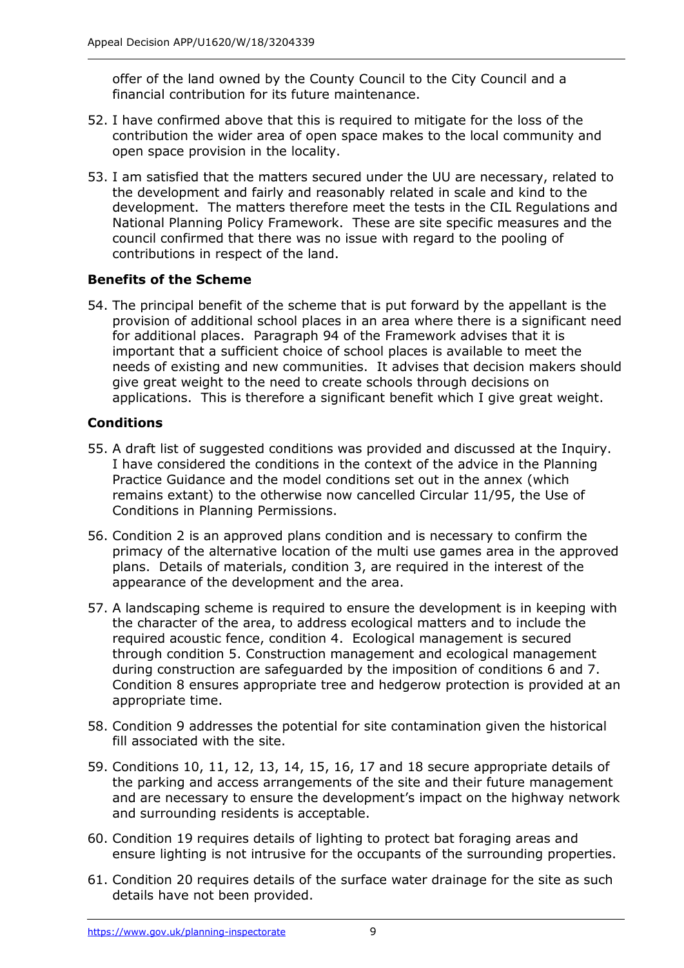offer of the land owned by the County Council to the City Council and a financial contribution for its future maintenance.

- 52. I have confirmed above that this is required to mitigate for the loss of the contribution the wider area of open space makes to the local community and open space provision in the locality.
- 53. I am satisfied that the matters secured under the UU are necessary, related to the development and fairly and reasonably related in scale and kind to the development. The matters therefore meet the tests in the CIL Regulations and National Planning Policy Framework. These are site specific measures and the council confirmed that there was no issue with regard to the pooling of contributions in respect of the land.

# **Benefits of the Scheme**

54. The principal benefit of the scheme that is put forward by the appellant is the provision of additional school places in an area where there is a significant need for additional places. Paragraph 94 of the Framework advises that it is important that a sufficient choice of school places is available to meet the needs of existing and new communities. It advises that decision makers should give great weight to the need to create schools through decisions on applications. This is therefore a significant benefit which I give great weight.

# **Conditions**

- 55. A draft list of suggested conditions was provided and discussed at the Inquiry. I have considered the conditions in the context of the advice in the Planning Practice Guidance and the model conditions set out in the annex (which remains extant) to the otherwise now cancelled Circular 11/95, the Use of Conditions in Planning Permissions.
- 56. Condition 2 is an approved plans condition and is necessary to confirm the primacy of the alternative location of the multi use games area in the approved plans. Details of materials, condition 3, are required in the interest of the appearance of the development and the area.
- 57. A landscaping scheme is required to ensure the development is in keeping with the character of the area, to address ecological matters and to include the required acoustic fence, condition 4. Ecological management is secured through condition 5. Construction management and ecological management during construction are safeguarded by the imposition of conditions 6 and 7. Condition 8 ensures appropriate tree and hedgerow protection is provided at an appropriate time.
- 58. Condition 9 addresses the potential for site contamination given the historical fill associated with the site.
- 59. Conditions 10, 11, 12, 13, 14, 15, 16, 17 and 18 secure appropriate details of the parking and access arrangements of the site and their future management and are necessary to ensure the development's impact on the highway network and surrounding residents is acceptable.
- 60. Condition 19 requires details of lighting to protect bat foraging areas and ensure lighting is not intrusive for the occupants of the surrounding properties.
- 61. Condition 20 requires details of the surface water drainage for the site as such details have not been provided.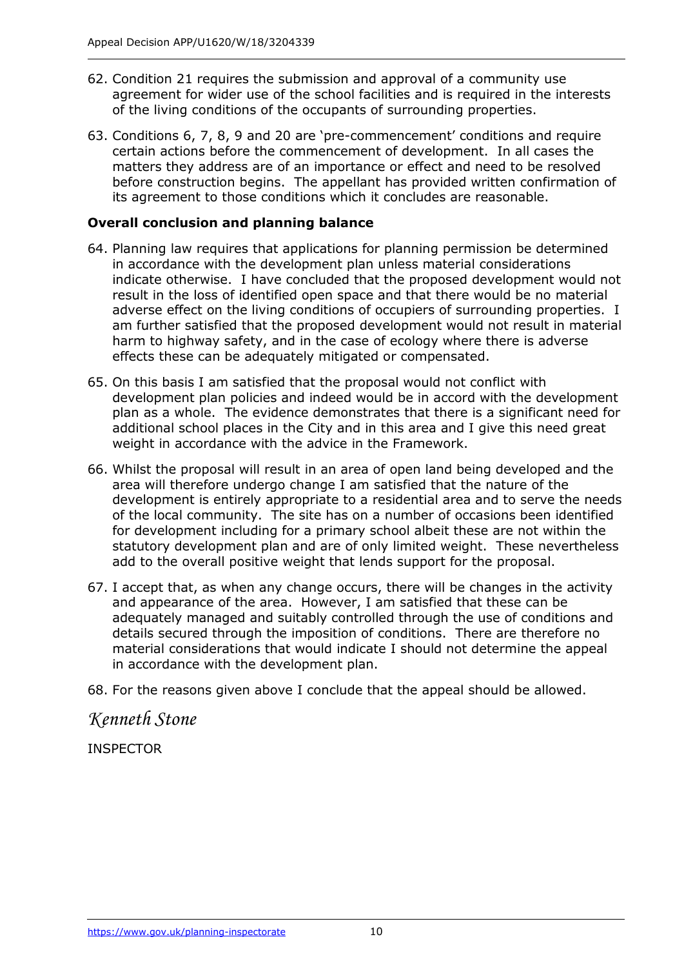- 62. Condition 21 requires the submission and approval of a community use agreement for wider use of the school facilities and is required in the interests of the living conditions of the occupants of surrounding properties.
- 63. Conditions 6, 7, 8, 9 and 20 are 'pre-commencement' conditions and require certain actions before the commencement of development. In all cases the matters they address are of an importance or effect and need to be resolved before construction begins. The appellant has provided written confirmation of its agreement to those conditions which it concludes are reasonable.

# **Overall conclusion and planning balance**

- 64. Planning law requires that applications for planning permission be determined in accordance with the development plan unless material considerations indicate otherwise. I have concluded that the proposed development would not result in the loss of identified open space and that there would be no material adverse effect on the living conditions of occupiers of surrounding properties. I am further satisfied that the proposed development would not result in material harm to highway safety, and in the case of ecology where there is adverse effects these can be adequately mitigated or compensated.
- 65. On this basis I am satisfied that the proposal would not conflict with development plan policies and indeed would be in accord with the development plan as a whole. The evidence demonstrates that there is a significant need for additional school places in the City and in this area and I give this need great weight in accordance with the advice in the Framework.
- 66. Whilst the proposal will result in an area of open land being developed and the area will therefore undergo change I am satisfied that the nature of the development is entirely appropriate to a residential area and to serve the needs of the local community. The site has on a number of occasions been identified for development including for a primary school albeit these are not within the statutory development plan and are of only limited weight. These nevertheless add to the overall positive weight that lends support for the proposal.
- 67. I accept that, as when any change occurs, there will be changes in the activity and appearance of the area. However, I am satisfied that these can be adequately managed and suitably controlled through the use of conditions and details secured through the imposition of conditions. There are therefore no material considerations that would indicate I should not determine the appeal in accordance with the development plan.

68. For the reasons given above I conclude that the appeal should be allowed.

*Kenneth Stone*

INSPECTOR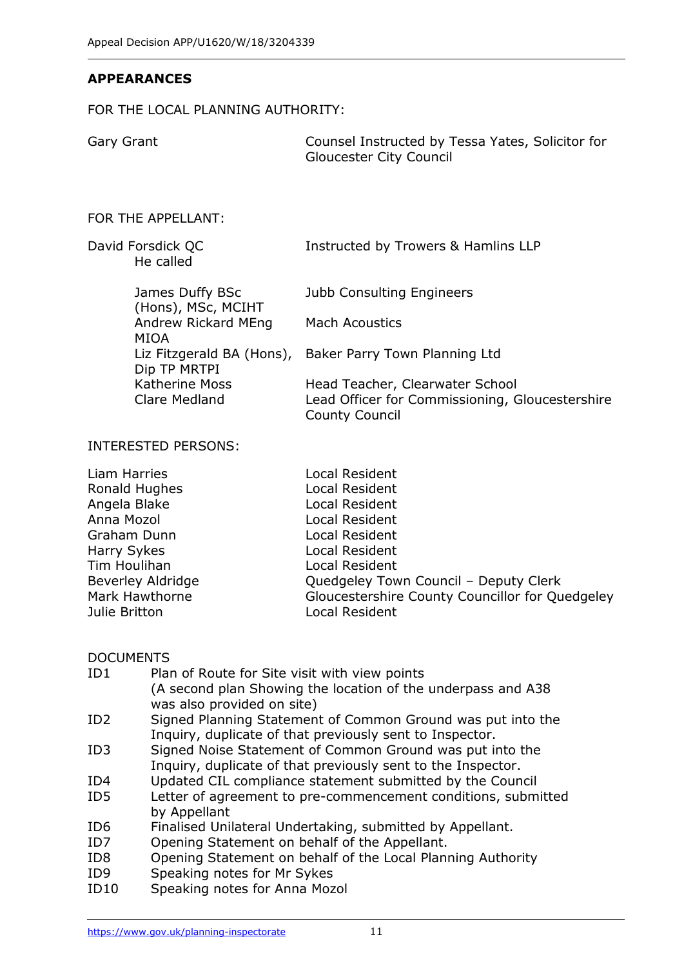#### **APPEARANCES**

#### FOR THE LOCAL PLANNING AUTHORITY:

Gary Grant Counsel Instructed by Tessa Yates, Solicitor for Gloucester City Council

#### FOR THE APPELLANT:

David Forsdick QC **Instructed by Trowers & Hamlins LLP** He called

> James Duffy BSc (Hons), MSc, MCIHT Andrew Rickard MEng MIOA Dip TP MRTPI Katherine Moss Clare Medland Jubb Consulting Engineers

Mach Acoustics

Liz Fitzgerald BA (Hons), Baker Parry Town Planning Ltd

Head Teacher, Clearwater School Lead Officer for Commissioning, Gloucestershire County Council

#### INTERESTED PERSONS:

| Liam Harries             | Local Resident                                  |
|--------------------------|-------------------------------------------------|
| Ronald Hughes            | Local Resident                                  |
| Angela Blake             | Local Resident                                  |
| Anna Mozol               | Local Resident                                  |
| Graham Dunn              | Local Resident                                  |
| Harry Sykes              | Local Resident                                  |
| Tim Houlihan             | Local Resident                                  |
| <b>Beverley Aldridge</b> | Quedgeley Town Council - Deputy Clerk           |
| Mark Hawthorne           | Gloucestershire County Councillor for Quedgeley |
| Julie Britton            | Local Resident                                  |

#### DOCUMENTS

| ID1             | Plan of Route for Site visit with view points                 |
|-----------------|---------------------------------------------------------------|
|                 | (A second plan Showing the location of the underpass and A38  |
|                 | was also provided on site)                                    |
| ID <sub>2</sub> | Signed Planning Statement of Common Ground was put into the   |
|                 | Inquiry, duplicate of that previously sent to Inspector.      |
| ID3             | Signed Noise Statement of Common Ground was put into the      |
|                 | Inquiry, duplicate of that previously sent to the Inspector.  |
| ID4             | Updated CIL compliance statement submitted by the Council     |
| ID5             | Letter of agreement to pre-commencement conditions, submitted |
|                 | by Appellant                                                  |
| ID <sub>6</sub> | Finalised Unilateral Undertaking, submitted by Appellant.     |
| ID7             | Opening Statement on behalf of the Appellant.                 |
| ID <sub>8</sub> | Opening Statement on behalf of the Local Planning Authority   |
| ID <sub>9</sub> | Speaking notes for Mr Sykes                                   |
|                 |                                                               |

ID10 Speaking notes for Anna Mozol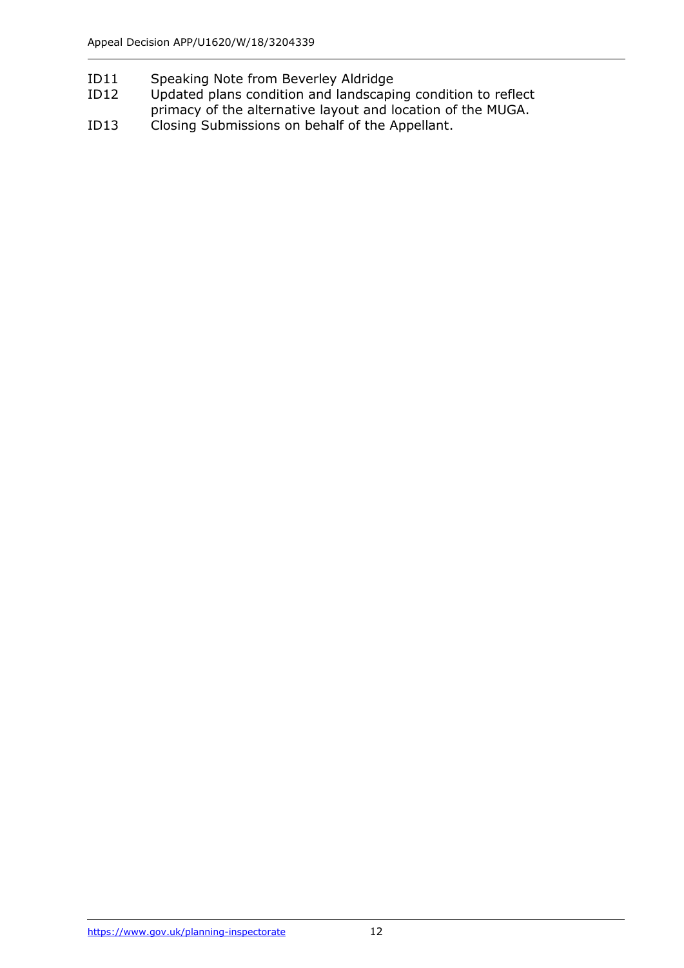- ID11 Speaking Note from Beverley Aldridge
- ID12 Updated plans condition and landscaping condition to reflect primacy of the alternative layout and location of the MUGA.
- ID13 Closing Submissions on behalf of the Appellant.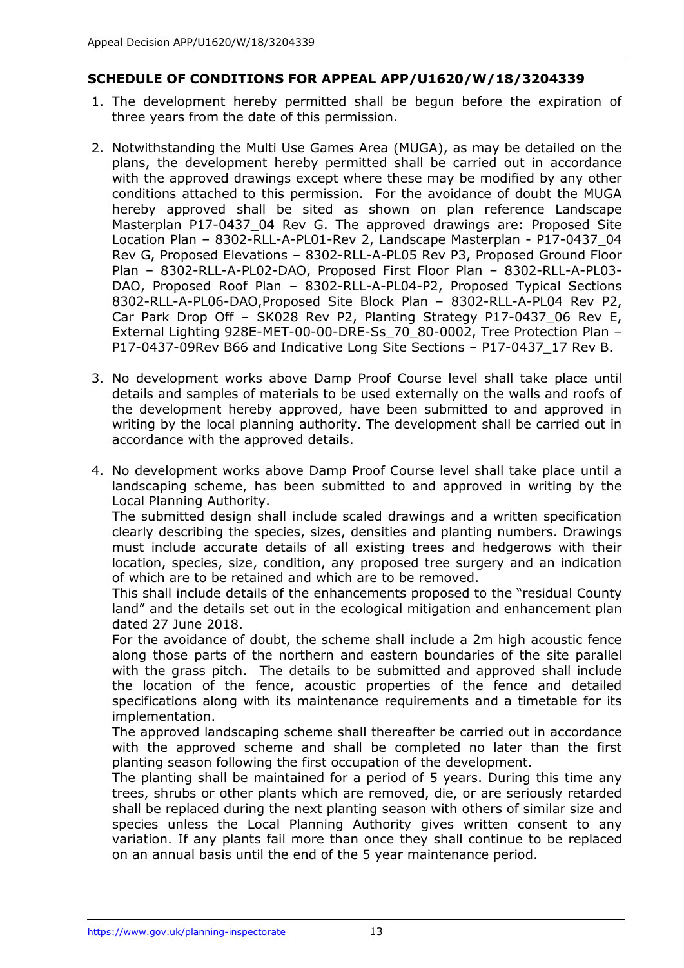# **SCHEDULE OF CONDITIONS FOR APPEAL APP/U1620/W/18/3204339**

- 1. The development hereby permitted shall be begun before the expiration of three years from the date of this permission.
- 2. Notwithstanding the Multi Use Games Area (MUGA), as may be detailed on the plans, the development hereby permitted shall be carried out in accordance with the approved drawings except where these may be modified by any other conditions attached to this permission. For the avoidance of doubt the MUGA hereby approved shall be sited as shown on plan reference Landscape Masterplan P17-0437\_04 Rev G. The approved drawings are: Proposed Site Location Plan – 8302-RLL-A-PL01-Rev 2, Landscape Masterplan - P17-0437\_04 Rev G, Proposed Elevations – 8302-RLL-A-PL05 Rev P3, Proposed Ground Floor Plan – 8302-RLL-A-PL02-DAO, Proposed First Floor Plan – 8302-RLL-A-PL03- DAO, Proposed Roof Plan – 8302-RLL-A-PL04-P2, Proposed Typical Sections 8302-RLL-A-PL06-DAO,Proposed Site Block Plan – 8302-RLL-A-PL04 Rev P2, Car Park Drop Off – SK028 Rev P2, Planting Strategy P17-0437\_06 Rev E, External Lighting 928E-MET-00-00-DRE-Ss\_70\_80-0002, Tree Protection Plan – P17-0437-09Rev B66 and Indicative Long Site Sections – P17-0437\_17 Rev B.
- 3. No development works above Damp Proof Course level shall take place until details and samples of materials to be used externally on the walls and roofs of the development hereby approved, have been submitted to and approved in writing by the local planning authority. The development shall be carried out in accordance with the approved details.
- 4. No development works above Damp Proof Course level shall take place until a landscaping scheme, has been submitted to and approved in writing by the Local Planning Authority.

The submitted design shall include scaled drawings and a written specification clearly describing the species, sizes, densities and planting numbers. Drawings must include accurate details of all existing trees and hedgerows with their location, species, size, condition, any proposed tree surgery and an indication of which are to be retained and which are to be removed.

This shall include details of the enhancements proposed to the "residual County land" and the details set out in the ecological mitigation and enhancement plan dated 27 June 2018.

For the avoidance of doubt, the scheme shall include a 2m high acoustic fence along those parts of the northern and eastern boundaries of the site parallel with the grass pitch. The details to be submitted and approved shall include the location of the fence, acoustic properties of the fence and detailed specifications along with its maintenance requirements and a timetable for its implementation.

The approved landscaping scheme shall thereafter be carried out in accordance with the approved scheme and shall be completed no later than the first planting season following the first occupation of the development.

The planting shall be maintained for a period of 5 years. During this time any trees, shrubs or other plants which are removed, die, or are seriously retarded shall be replaced during the next planting season with others of similar size and species unless the Local Planning Authority gives written consent to any variation. If any plants fail more than once they shall continue to be replaced on an annual basis until the end of the 5 year maintenance period.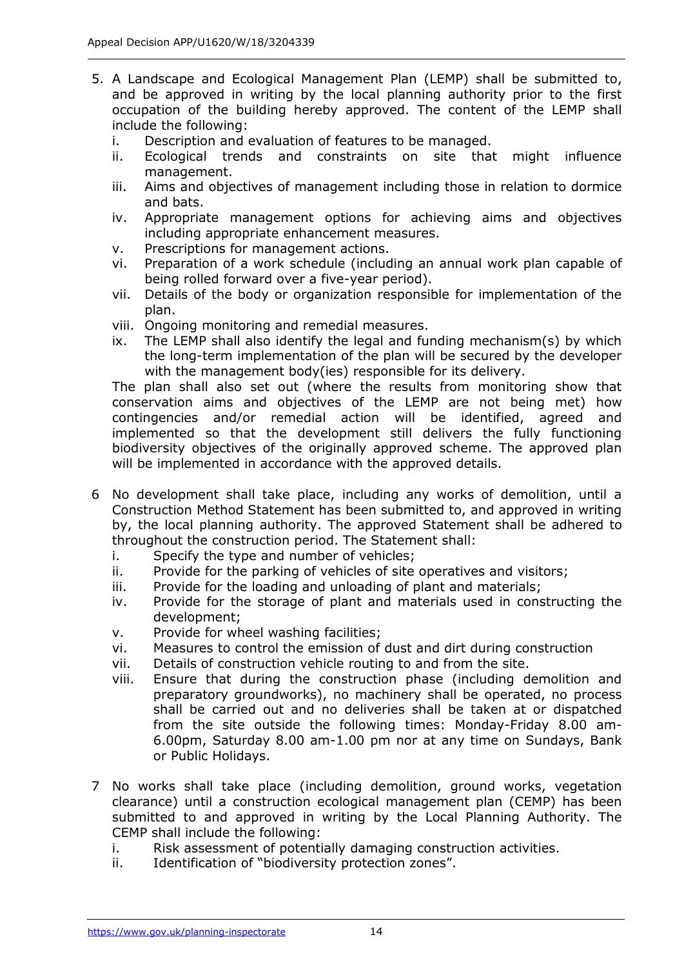- 5. A Landscape and Ecological Management Plan (LEMP) shall be submitted to, and be approved in writing by the local planning authority prior to the first occupation of the building hereby approved. The content of the LEMP shall include the following:
	- i. Description and evaluation of features to be managed.
	- ii. Ecological trends and constraints on site that might influence management.
	- iii. Aims and objectives of management including those in relation to dormice and bats.
	- iv. Appropriate management options for achieving aims and objectives including appropriate enhancement measures.
	- v. Prescriptions for management actions.
	- vi. Preparation of a work schedule (including an annual work plan capable of being rolled forward over a five-year period).
	- vii. Details of the body or organization responsible for implementation of the plan.
	- viii. Ongoing monitoring and remedial measures.
	- ix. The LEMP shall also identify the legal and funding mechanism(s) by which the long-term implementation of the plan will be secured by the developer with the management body(ies) responsible for its delivery.

The plan shall also set out (where the results from monitoring show that conservation aims and objectives of the LEMP are not being met) how contingencies and/or remedial action will be identified, agreed and implemented so that the development still delivers the fully functioning biodiversity objectives of the originally approved scheme. The approved plan will be implemented in accordance with the approved details.

- 6 No development shall take place, including any works of demolition, until a Construction Method Statement has been submitted to, and approved in writing by, the local planning authority. The approved Statement shall be adhered to throughout the construction period. The Statement shall:
	- i. Specify the type and number of vehicles;
	- ii. Provide for the parking of vehicles of site operatives and visitors;
	- iii. Provide for the loading and unloading of plant and materials;
	- iv. Provide for the storage of plant and materials used in constructing the development;
	- v. Provide for wheel washing facilities;
	- vi. Measures to control the emission of dust and dirt during construction
	- vii. Details of construction vehicle routing to and from the site.
	- viii. Ensure that during the construction phase (including demolition and preparatory groundworks), no machinery shall be operated, no process shall be carried out and no deliveries shall be taken at or dispatched from the site outside the following times: Monday-Friday 8.00 am-6.00pm, Saturday 8.00 am-1.00 pm nor at any time on Sundays, Bank or Public Holidays.
- 7 No works shall take place (including demolition, ground works, vegetation clearance) until a construction ecological management plan (CEMP) has been submitted to and approved in writing by the Local Planning Authority. The CEMP shall include the following:
	- i. Risk assessment of potentially damaging construction activities.
	- ii. Identification of "biodiversity protection zones".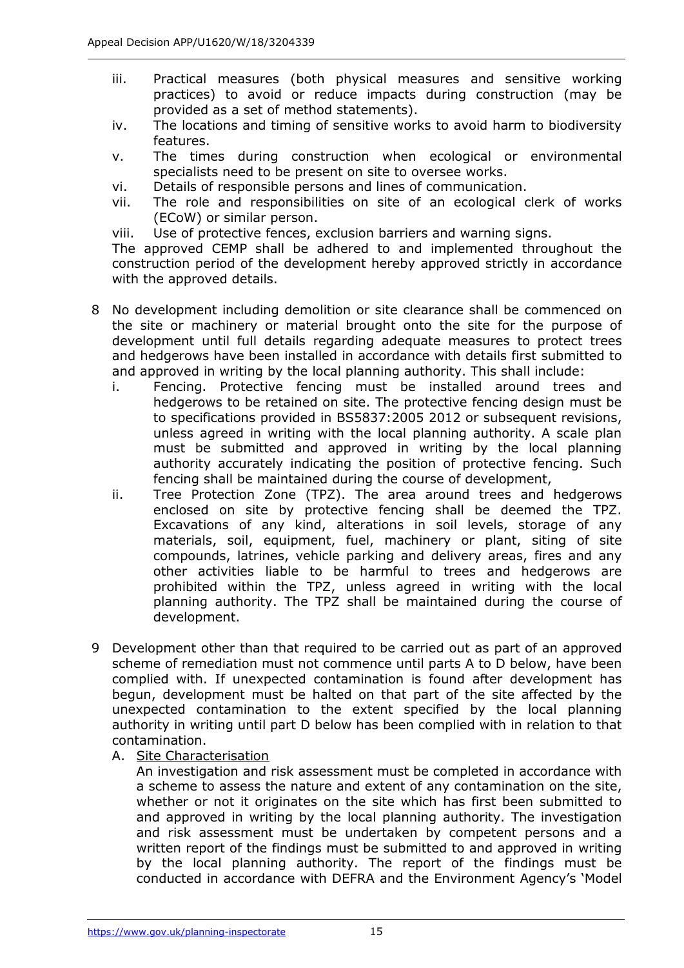- iii. Practical measures (both physical measures and sensitive working practices) to avoid or reduce impacts during construction (may be provided as a set of method statements).
- iv. The locations and timing of sensitive works to avoid harm to biodiversity features.
- v. The times during construction when ecological or environmental specialists need to be present on site to oversee works.
- vi. Details of responsible persons and lines of communication.
- vii. The role and responsibilities on site of an ecological clerk of works (ECoW) or similar person.
- viii. Use of protective fences, exclusion barriers and warning signs.

The approved CEMP shall be adhered to and implemented throughout the construction period of the development hereby approved strictly in accordance with the approved details.

- 8 No development including demolition or site clearance shall be commenced on the site or machinery or material brought onto the site for the purpose of development until full details regarding adequate measures to protect trees and hedgerows have been installed in accordance with details first submitted to and approved in writing by the local planning authority. This shall include:
	- i. Fencing. Protective fencing must be installed around trees and hedgerows to be retained on site. The protective fencing design must be to specifications provided in BS5837:2005 2012 or subsequent revisions, unless agreed in writing with the local planning authority. A scale plan must be submitted and approved in writing by the local planning authority accurately indicating the position of protective fencing. Such fencing shall be maintained during the course of development,
	- ii. Tree Protection Zone (TPZ). The area around trees and hedgerows enclosed on site by protective fencing shall be deemed the TPZ. Excavations of any kind, alterations in soil levels, storage of any materials, soil, equipment, fuel, machinery or plant, siting of site compounds, latrines, vehicle parking and delivery areas, fires and any other activities liable to be harmful to trees and hedgerows are prohibited within the TPZ, unless agreed in writing with the local planning authority. The TPZ shall be maintained during the course of development.
- 9 Development other than that required to be carried out as part of an approved scheme of remediation must not commence until parts A to D below, have been complied with. If unexpected contamination is found after development has begun, development must be halted on that part of the site affected by the unexpected contamination to the extent specified by the local planning authority in writing until part D below has been complied with in relation to that contamination.
	- A. Site Characterisation

An investigation and risk assessment must be completed in accordance with a scheme to assess the nature and extent of any contamination on the site, whether or not it originates on the site which has first been submitted to and approved in writing by the local planning authority. The investigation and risk assessment must be undertaken by competent persons and a written report of the findings must be submitted to and approved in writing by the local planning authority. The report of the findings must be conducted in accordance with DEFRA and the Environment Agency's 'Model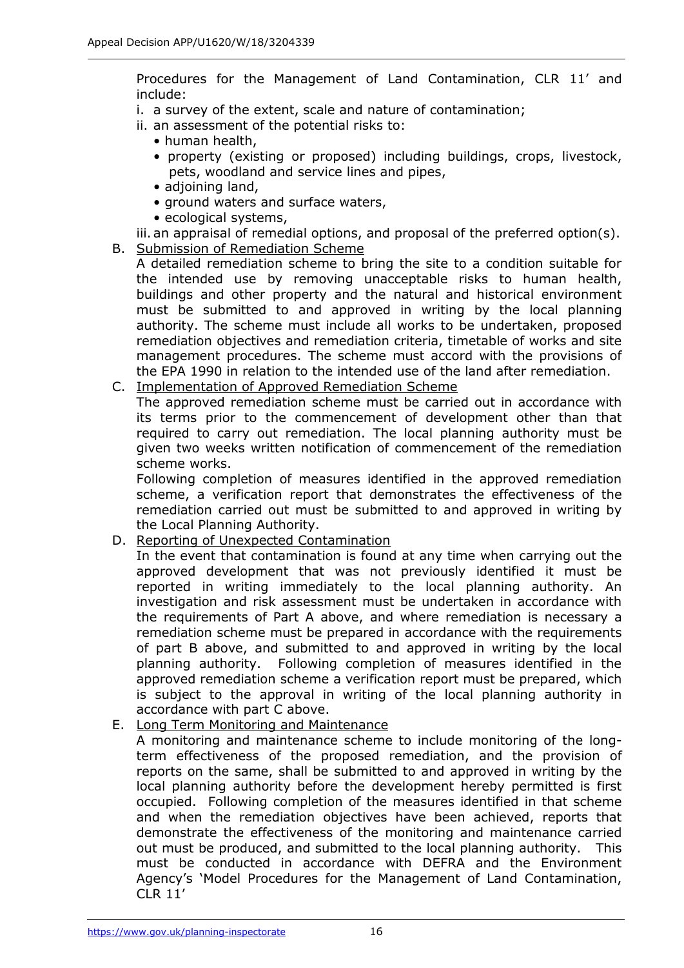Procedures for the Management of Land Contamination, CLR 11' and include:

- i. a survey of the extent, scale and nature of contamination;
- ii. an assessment of the potential risks to:
	- human health,
	- property (existing or proposed) including buildings, crops, livestock, pets, woodland and service lines and pipes,
	- adjoining land,
	- ground waters and surface waters,
	- ecological systems,

iii. an appraisal of remedial options, and proposal of the preferred option(s).

- B. Submission of Remediation Scheme
	- A detailed remediation scheme to bring the site to a condition suitable for the intended use by removing unacceptable risks to human health, buildings and other property and the natural and historical environment must be submitted to and approved in writing by the local planning authority. The scheme must include all works to be undertaken, proposed remediation objectives and remediation criteria, timetable of works and site management procedures. The scheme must accord with the provisions of the EPA 1990 in relation to the intended use of the land after remediation.
- C. Implementation of Approved Remediation Scheme

The approved remediation scheme must be carried out in accordance with its terms prior to the commencement of development other than that required to carry out remediation. The local planning authority must be given two weeks written notification of commencement of the remediation scheme works.

Following completion of measures identified in the approved remediation scheme, a verification report that demonstrates the effectiveness of the remediation carried out must be submitted to and approved in writing by the Local Planning Authority.

D. Reporting of Unexpected Contamination

In the event that contamination is found at any time when carrying out the approved development that was not previously identified it must be reported in writing immediately to the local planning authority. An investigation and risk assessment must be undertaken in accordance with the requirements of Part A above, and where remediation is necessary a remediation scheme must be prepared in accordance with the requirements of part B above, and submitted to and approved in writing by the local planning authority. Following completion of measures identified in the approved remediation scheme a verification report must be prepared, which is subject to the approval in writing of the local planning authority in accordance with part C above.

E. Long Term Monitoring and Maintenance

A monitoring and maintenance scheme to include monitoring of the longterm effectiveness of the proposed remediation, and the provision of reports on the same, shall be submitted to and approved in writing by the local planning authority before the development hereby permitted is first occupied. Following completion of the measures identified in that scheme and when the remediation objectives have been achieved, reports that demonstrate the effectiveness of the monitoring and maintenance carried out must be produced, and submitted to the local planning authority. This must be conducted in accordance with DEFRA and the Environment Agency's 'Model Procedures for the Management of Land Contamination, CLR 11'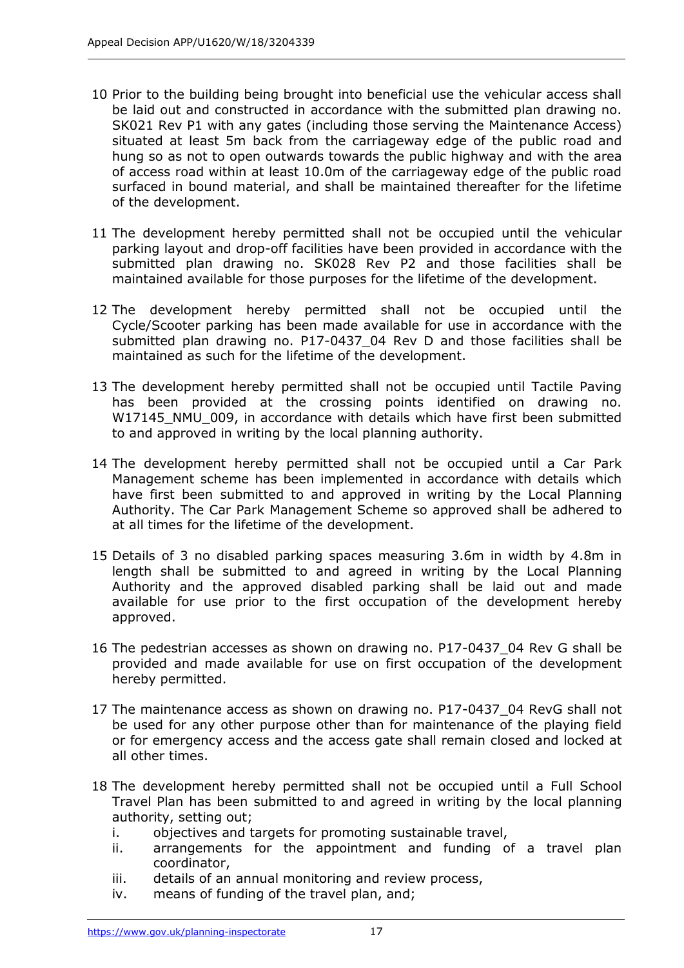- 10 Prior to the building being brought into beneficial use the vehicular access shall be laid out and constructed in accordance with the submitted plan drawing no. SK021 Rev P1 with any gates (including those serving the Maintenance Access) situated at least 5m back from the carriageway edge of the public road and hung so as not to open outwards towards the public highway and with the area of access road within at least 10.0m of the carriageway edge of the public road surfaced in bound material, and shall be maintained thereafter for the lifetime of the development.
- 11 The development hereby permitted shall not be occupied until the vehicular parking layout and drop-off facilities have been provided in accordance with the submitted plan drawing no. SK028 Rev P2 and those facilities shall be maintained available for those purposes for the lifetime of the development.
- 12 The development hereby permitted shall not be occupied until the Cycle/Scooter parking has been made available for use in accordance with the submitted plan drawing no. P17-0437\_04 Rev D and those facilities shall be maintained as such for the lifetime of the development.
- 13 The development hereby permitted shall not be occupied until Tactile Paving has been provided at the crossing points identified on drawing no. W17145\_NMU\_009, in accordance with details which have first been submitted to and approved in writing by the local planning authority.
- 14 The development hereby permitted shall not be occupied until a Car Park Management scheme has been implemented in accordance with details which have first been submitted to and approved in writing by the Local Planning Authority. The Car Park Management Scheme so approved shall be adhered to at all times for the lifetime of the development.
- 15 Details of 3 no disabled parking spaces measuring 3.6m in width by 4.8m in length shall be submitted to and agreed in writing by the Local Planning Authority and the approved disabled parking shall be laid out and made available for use prior to the first occupation of the development hereby approved.
- 16 The pedestrian accesses as shown on drawing no. P17-0437\_04 Rev G shall be provided and made available for use on first occupation of the development hereby permitted.
- 17 The maintenance access as shown on drawing no. P17-0437\_04 RevG shall not be used for any other purpose other than for maintenance of the playing field or for emergency access and the access gate shall remain closed and locked at all other times.
- 18 The development hereby permitted shall not be occupied until a Full School Travel Plan has been submitted to and agreed in writing by the local planning authority, setting out;
	- i. objectives and targets for promoting sustainable travel,
	- ii. arrangements for the appointment and funding of a travel plan coordinator,
	- iii. details of an annual monitoring and review process,
	- iv. means of funding of the travel plan, and;